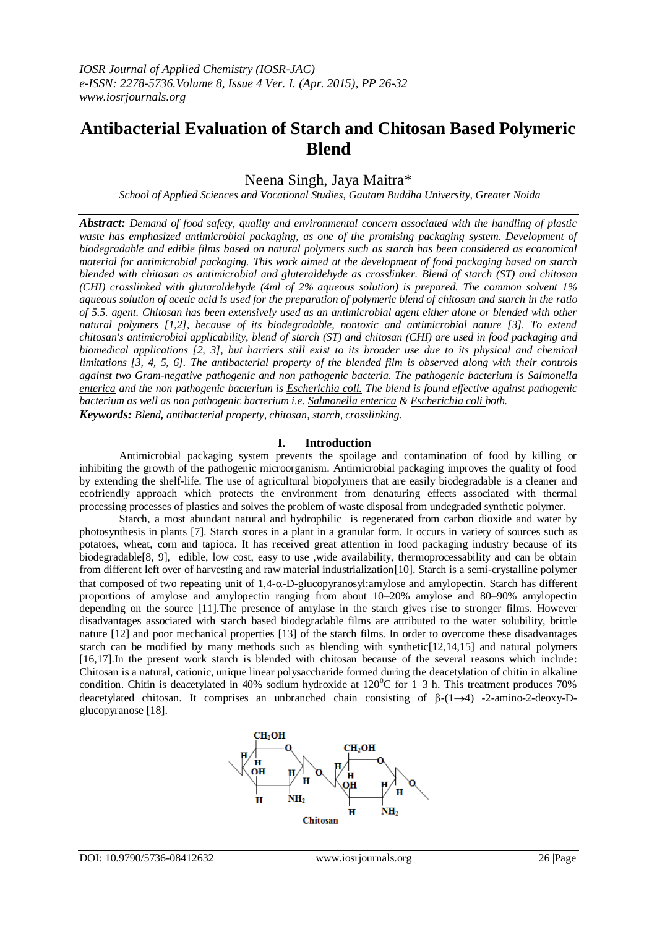# **Antibacterial Evaluation of Starch and Chitosan Based Polymeric Blend**

Neena Singh, Jaya Maitra\*

*School of Applied Sciences and Vocational Studies, Gautam Buddha University, Greater Noida*

*Abstract: Demand of food safety, quality and environmental concern associated with the handling of plastic waste has emphasized antimicrobial packaging, as one of the promising packaging system. Development of biodegradable and edible films based on natural polymers such as starch has been considered as economical material for antimicrobial packaging. This work aimed at the development of food packaging based on starch blended with chitosan as antimicrobial and gluteraldehyde as crosslinker. Blend of starch (ST) and chitosan (CHI) crosslinked with glutaraldehyde (4ml of 2% aqueous solution) is prepared. The common solvent 1% aqueous solution of acetic acid is used for the preparation of polymeric blend of chitosan and starch in the ratio of 5.5. agent. Chitosan has been extensively used as an antimicrobial agent either alone or blended with other natural polymers [1,2], because of its biodegradable, nontoxic and antimicrobial nature [3]. To extend chitosan's antimicrobial applicability, blend of starch (ST) and chitosan (CHI) are used in food packaging and biomedical applications [2, 3], but barriers still exist to its broader use due to its physical and chemical limitations [3, 4, 5, 6]. The antibacterial property of the blended film is observed along with their controls against two Gram-negative pathogenic and non pathogenic bacteria. The pathogenic bacterium is Salmonella enterica and the non pathogenic bacterium is Escherichia coli. The blend is found effective against pathogenic bacterium as well as non pathogenic bacterium i.e. Salmonella enterica & Escherichia coli both.* 

*Keywords: Blend, antibacterial property, chitosan, starch, crosslinking*.

## **I. Introduction**

Antimicrobial packaging system prevents the spoilage and contamination of food by killing or inhibiting the growth of the pathogenic microorganism. Antimicrobial packaging improves the quality of food by extending the shelf-life. The use of agricultural biopolymers that are easily biodegradable is a cleaner and ecofriendly approach which protects the environment from denaturing effects associated with thermal processing processes of plastics and solves the problem of waste disposal from undegraded synthetic polymer.

Starch, a most abundant natural and hydrophilic is regenerated from carbon dioxide and water by photosynthesis in plants [7]. Starch stores in a plant in a granular form. It occurs in variety of sources such as potatoes, wheat, corn and tapioca. It has received great attention in food packaging industry because of its biodegradable[8, 9], edible, low cost, easy to use ,wide availability, thermoprocessability and can be obtain from different left over of harvesting and raw material industrialization[10]. Starch is a semi-crystalline polymer that composed of two repeating unit of  $1,4-\alpha$ -D-glucopyranosyl:amylose and amylopectin. Starch has different proportions of amylose and amylopectin ranging from about 10–20% amylose and 80–90% amylopectin depending on the source [11].The presence of amylase in the starch gives rise to stronger films. However disadvantages associated with starch based biodegradable films are attributed to the water solubility, brittle nature [12] and poor mechanical properties [13] of the starch films. In order to overcome these disadvantages starch can be modified by many methods such as blending with synthetic[12,14,15] and natural polymers [16,17].In the present work starch is blended with chitosan because of the several reasons which include: Chitosan is a natural, cationic, unique linear polysaccharide formed during the deacetylation of chitin in alkaline condition. Chitin is deacetylated in 40% sodium hydroxide at  $120^{\circ}$ C for 1–3 h. This treatment produces 70% deacetylated chitosan. It comprises an unbranched chain consisting of  $\beta$ -(1->4) -2-amino-2-deoxy-Dglucopyranose [18].

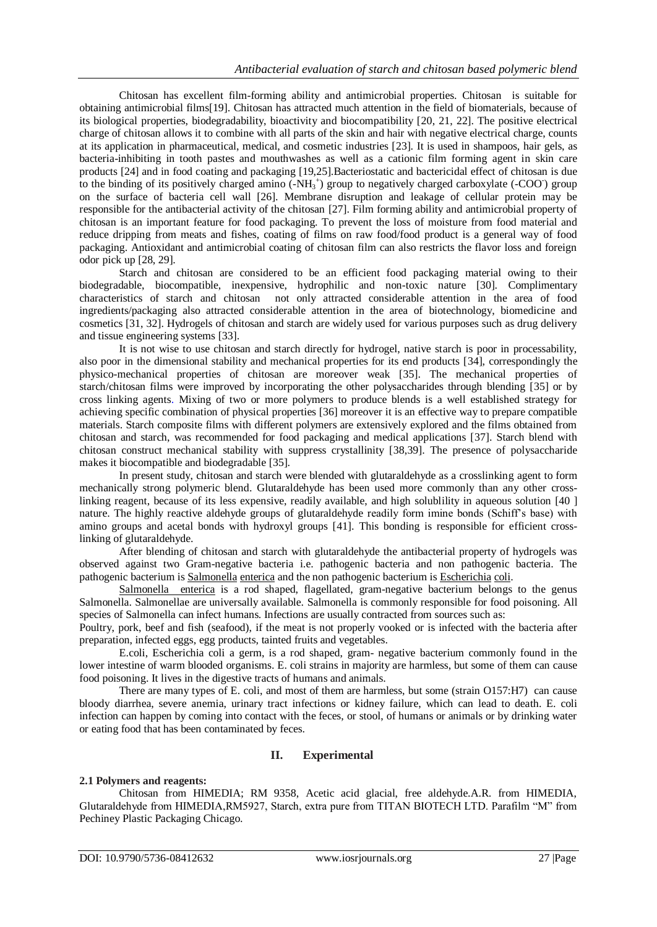Chitosan has excellent film-forming ability and antimicrobial properties. Chitosan is suitable for obtaining antimicrobial films[19]. Chitosan has attracted much attention in the field of biomaterials, because of its biological properties, biodegradability, bioactivity and biocompatibility [20, 21, 22]. The positive electrical charge of chitosan allows it to combine with all parts of the skin and hair with negative electrical charge, counts at its application in pharmaceutical, medical, and cosmetic industries [23]. It is used in shampoos, hair gels, as bacteria-inhibiting in tooth pastes and mouthwashes as well as a cationic film forming agent in skin care products [24] and in food coating and packaging [19,25].Bacteriostatic and bactericidal effect of chitosan is due to the binding of its positively charged amino  $(-NH_3^+)$  group to negatively charged carboxylate  $(-COO^-)$  group on the surface of bacteria cell wall [26]. Membrane disruption and leakage of cellular protein may be responsible for the antibacterial activity of the chitosan [27]. Film forming ability and antimicrobial property of chitosan is an important feature for food packaging. To prevent the loss of moisture from food material and reduce dripping from meats and fishes, coating of films on raw food/food product is a general way of food packaging. Antioxidant and antimicrobial coating of chitosan film can also restricts the flavor loss and foreign odor pick up [28, 29].

Starch and chitosan are considered to be an efficient food packaging material owing to their biodegradable, biocompatible, inexpensive, hydrophilic and non-toxic nature [30]. Complimentary characteristics of starch and chitosan not only attracted considerable attention in the area of food ingredients/packaging also attracted considerable attention in the area of biotechnology, biomedicine and cosmetics [31, 32]. Hydrogels of chitosan and starch are widely used for various purposes such as drug delivery and tissue engineering systems [33].

It is not wise to use chitosan and starch directly for hydrogel, native starch is poor in processability, also poor in the dimensional stability and mechanical properties for its end products [34], correspondingly the physico-mechanical properties of chitosan are moreover weak [35]. The mechanical properties of starch/chitosan films were improved by incorporating the other polysaccharides through blending [35] or by cross linking agents. Mixing of two or more polymers to produce blends is a well established strategy for achieving specific combination of physical properties [36] moreover it is an effective way to prepare compatible materials. Starch composite films with different polymers are extensively explored and the films obtained from chitosan and starch, was recommended for food packaging and medical applications [37]. Starch blend with chitosan construct mechanical stability with suppress crystallinity [38,39]. The presence of polysaccharide makes it biocompatible and biodegradable [35].

In present study, chitosan and starch were blended with glutaraldehyde as a crosslinking agent to form mechanically strong polymeric blend. Glutaraldehyde has been used more commonly than any other crosslinking reagent, because of its less expensive, readily available, and high solublility in aqueous solution [40 ] nature. The highly reactive aldehyde groups of glutaraldehyde readily form imine bonds (Schiff's base) with amino groups and acetal bonds with hydroxyl groups [41]. This bonding is responsible for efficient crosslinking of glutaraldehyde.

After blending of chitosan and starch with glutaraldehyde the antibacterial property of hydrogels was observed against two Gram-negative bacteria i.e. pathogenic bacteria and non pathogenic bacteria. The pathogenic bacterium is Salmonella enterica and the non pathogenic bacterium is Escherichia coli.

Salmonella enterica is a rod shaped, flagellated, gram-negative bacterium belongs to the genus Salmonella. Salmonellae are universally available. Salmonella is commonly responsible for food poisoning. All species of Salmonella can infect humans. Infections are usually contracted from sources such as:

[Poultry,](http://en.wikipedia.org/wiki/Poultry) [pork,](http://en.wikipedia.org/wiki/Pork) [beef](http://en.wikipedia.org/wiki/Beef) and [fish](http://en.wikipedia.org/wiki/Fish) [\(seafood\)](http://en.wikipedia.org/wiki/Seafood), if the meat is not properly vooked or is infected with the bacteria after preparation, infected [eggs,](http://en.wikipedia.org/wiki/Egg_(food)) egg products, tainted fruits and vegetables.

E.coli, Escherichia coli a germ, is a rod shaped, gram- negative bacterium commonly found in the lower intestine of warm blooded organisms. E. coli strains in majority are harmless, but some of them can cause food poisoning. It lives in the digestive tracts of humans and animals.

There are many types of E. coli, and most of them are harmless, but some (strain O157:H7) can cause bloody [diarrhea,](http://www.webmd.com/digestive-disorders/digestive-diseases-diarrhea) severe [anemia,](http://www.webmd.com/hw-popup/anemia) [urinary tract infections](http://www.webmd.com/a-to-z-guides/urinary-tract-infections-in-teens-and-adults-topic-overview) or [kidney failure,](http://www.webmd.com/a-to-z-guides/acute-renal-failure-topic-overview) which can lead to death. E. coli infection can happen by coming into contact with the feces, or stool, of humans or animals or by drinking water or eating food that has been contaminated by feces.

# **II. Experimental**

# **2.1 Polymers and reagents:**

Chitosan from HIMEDIA; RM 9358, Acetic acid glacial, free aldehyde.A.R. from HIMEDIA, Glutaraldehyde from HIMEDIA,RM5927, Starch, extra pure from TITAN BIOTECH LTD. Parafilm "M" from Pechiney Plastic Packaging Chicago.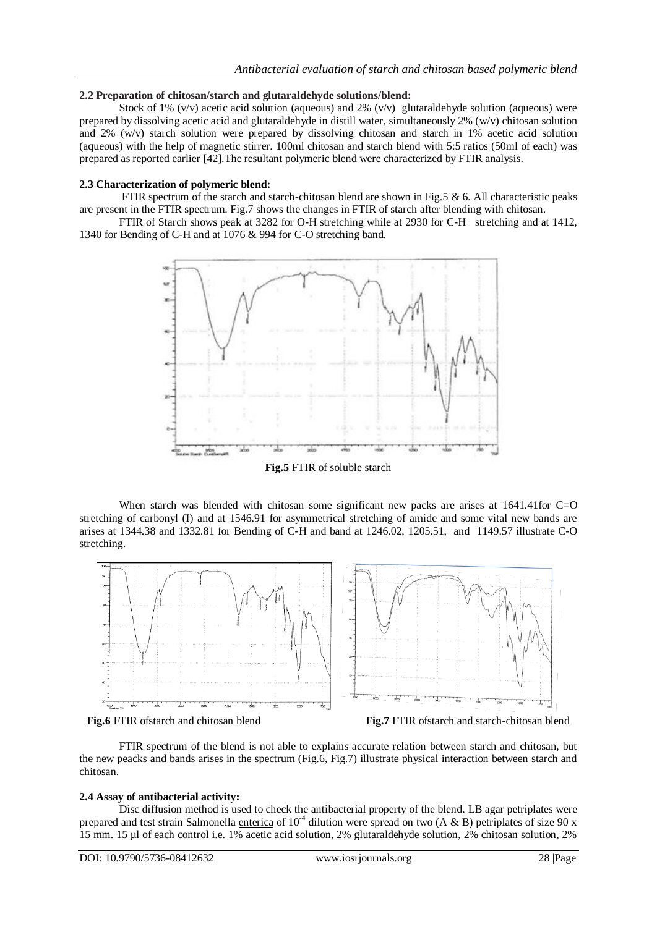## **2.2 Preparation of chitosan/starch and glutaraldehyde solutions/blend:**

Stock of 1% (v/v) acetic acid solution (aqueous) and 2% (v/v) glutaraldehyde solution (aqueous) were prepared by dissolving acetic acid and glutaraldehyde in distill water, simultaneously 2% (w/v) chitosan solution and 2% (w/v) starch solution were prepared by dissolving chitosan and starch in 1% acetic acid solution (aqueous) with the help of magnetic stirrer. 100ml chitosan and starch blend with 5:5 ratios (50ml of each) was prepared as reported earlier [42].The resultant polymeric blend were characterized by FTIR analysis.

## **2.3 Characterization of polymeric blend:**

FTIR spectrum of the starch and starch-chitosan blend are shown in Fig.5  $\&$  6. All characteristic peaks are present in the FTIR spectrum. Fig.7 shows the changes in FTIR of starch after blending with chitosan.

FTIR of Starch shows peak at 3282 for O-H stretching while at 2930 for C-H stretching and at 1412, 1340 for Bending of C-H and at 1076 & 994 for C-O stretching band.



**Fig.5** FTIR of soluble starch

When starch was blended with chitosan some significant new packs are arises at 1641.41for C=O stretching of carbonyl (I) and at 1546.91 for asymmetrical stretching of amide and some vital new bands are arises at 1344.38 and 1332.81 for Bending of C-H and band at 1246.02, 1205.51, and 1149.57 illustrate C-O stretching.



**Fig.6** FTIR ofstarch and chitosan blend **Fig.7** FTIR ofstarch and starch-chitosan blend

FTIR spectrum of the blend is not able to explains accurate relation between starch and chitosan, but the new peacks and bands arises in the spectrum (Fig.6, Fig.7) illustrate physical interaction between starch and chitosan.

#### **2.4 Assay of antibacterial activity:**

Disc diffusion method is used to check the antibacterial property of the blend. LB agar petriplates were prepared and test strain Salmonella enterica of  $10^4$  dilution were spread on two (A & B) petriplates of size 90 x 15 mm. 15 µl of each control i.e. 1% acetic acid solution, 2% glutaraldehyde solution, 2% chitosan solution, 2%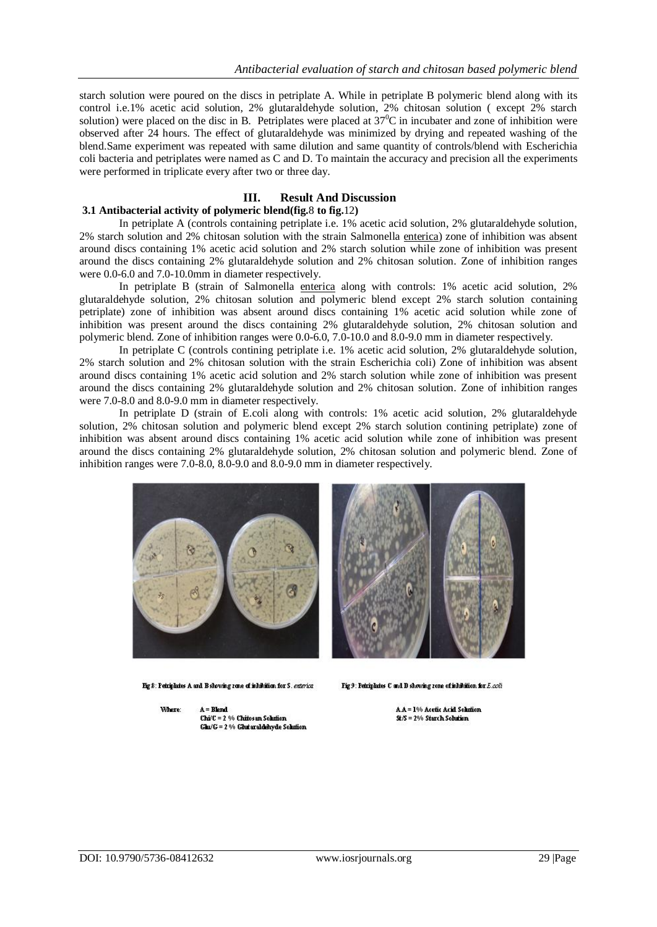starch solution were poured on the discs in petriplate A. While in petriplate B polymeric blend along with its control i.e.1% acetic acid solution, 2% glutaraldehyde solution, 2% chitosan solution ( except 2% starch solution) were placed on the disc in B. Petriplates were placed at  $37^{\circ}$ C in incubater and zone of inhibition were observed after 24 hours. The effect of glutaraldehyde was minimized by drying and repeated washing of the blend.Same experiment was repeated with same dilution and same quantity of controls/blend with Escherichia coli bacteria and petriplates were named as C and D. To maintain the accuracy and precision all the experiments were performed in triplicate every after two or three day.

## **III. Result And Discussion**

# **3.1 Antibacterial activity of polymeric blend(fig.**8 **to fig.**12**)**

In petriplate A (controls containing petriplate i.e. 1% acetic acid solution, 2% glutaraldehyde solution, 2% starch solution and 2% chitosan solution with the strain Salmonella enterica) zone of inhibition was absent around discs containing 1% acetic acid solution and 2% starch solution while zone of inhibition was present around the discs containing 2% glutaraldehyde solution and 2% chitosan solution. Zone of inhibition ranges were 0.0-6.0 and 7.0-10.0mm in diameter respectively.

In petriplate B (strain of Salmonella enterica along with controls: 1% acetic acid solution, 2% glutaraldehyde solution, 2% chitosan solution and polymeric blend except 2% starch solution containing petriplate) zone of inhibition was absent around discs containing 1% acetic acid solution while zone of inhibition was present around the discs containing 2% glutaraldehyde solution, 2% chitosan solution and polymeric blend. Zone of inhibition ranges were 0.0-6.0, 7.0-10.0 and 8.0-9.0 mm in diameter respectively.

In petriplate C (controls contining petriplate i.e. 1% acetic acid solution, 2% glutaraldehyde solution, 2% starch solution and 2% chitosan solution with the strain Escherichia coli) Zone of inhibition was absent around discs containing 1% acetic acid solution and 2% starch solution while zone of inhibition was present around the discs containing 2% glutaraldehyde solution and 2% chitosan solution. Zone of inhibition ranges were 7.0-8.0 and 8.0-9.0 mm in diameter respectively.

In petriplate D (strain of E.coli along with controls: 1% acetic acid solution, 2% glutaraldehyde solution, 2% chitosan solution and polymeric blend except 2% starch solution contining petriplate) zone of inhibition was absent around discs containing 1% acetic acid solution while zone of inhibition was present around the discs containing 2% glutaraldehyde solution, 2% chitosan solution and polymeric blend. Zone of inhibition ranges were 7.0-8.0, 8.0-9.0 and 8.0-9.0 mm in diameter respectively.



Fig 8: Petriplates A and B showing zene of inhibition for S. enterior

Fig 9: Petriplates C and D showing zone of inhibition for  $E.$ coli

Where:  $A = B$ lend Chi/C = 2 % Chitosan Solution Glu/G = 2 % Glutaraldehyde Solution A.A = 1% Acetic Acid Solution St/S = 2% Starch Solution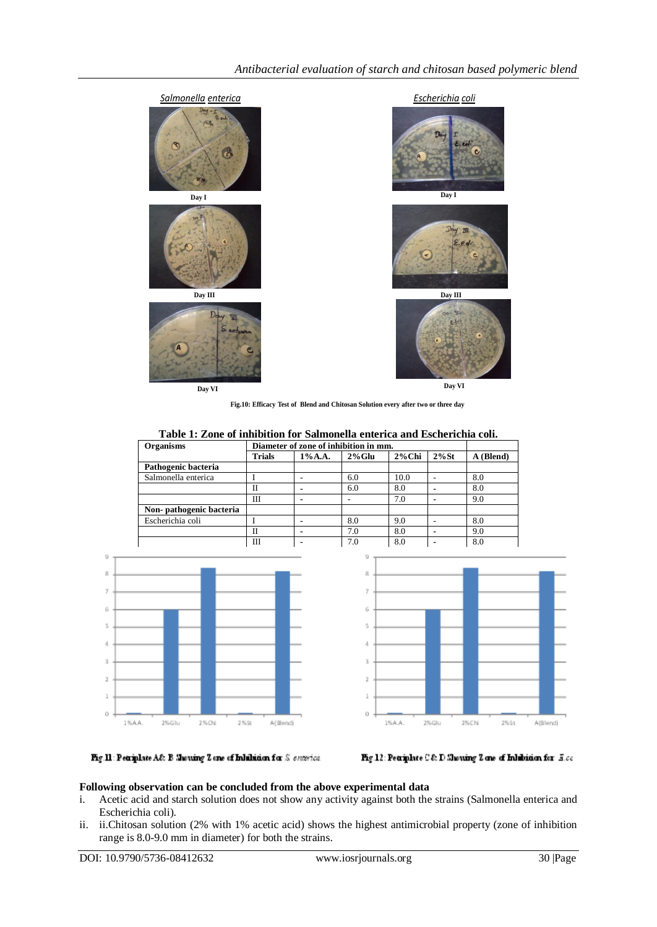

**Fig.10: Efficacy Test of Blend and Chitosan Solution every after two or three day**

**Table 1: Zone of inhibition for Salmonella enterica and Escherichia coli.**

| <b>Organisms</b>        | Diameter of zone of inhibition in mm. |                |           |           |          |           |
|-------------------------|---------------------------------------|----------------|-----------|-----------|----------|-----------|
|                         | <b>Trials</b>                         | $1\%$ A.A.     | $2\%$ Glu | $2\%$ Chi | $2\%$ St | A (Blend) |
| Pathogenic bacteria     |                                       |                |           |           |          |           |
| Salmonella enterica     |                                       |                | 6.0       | 10.0      |          | 8.0       |
|                         | П                                     |                | 6.0       | 8.0       |          | 8.0       |
|                         | Ш                                     | $\blacksquare$ |           | 7.0       | -        | 9.0       |
| Non-pathogenic bacteria |                                       |                |           |           |          |           |
| Escherichia coli        |                                       |                | 8.0       | 9.0       |          | 8.0       |
|                         | Н                                     |                | 7.0       | 8.0       |          | 9.0       |
|                         | Ш                                     |                | 7.0       | 8.0       |          | 8.0       |





Fig.11: Petriplate A& B Marring Z one of Inhibition for S enterior.



#### **Following observation can be concluded from the above experimental data**

- i. Acetic acid and starch solution does not show any activity against both the strains (Salmonella enterica and Escherichia coli).
- ii. ii.Chitosan solution (2% with 1% acetic acid) shows the highest antimicrobial property (zone of inhibition range is 8.0-9.0 mm in diameter) for both the strains.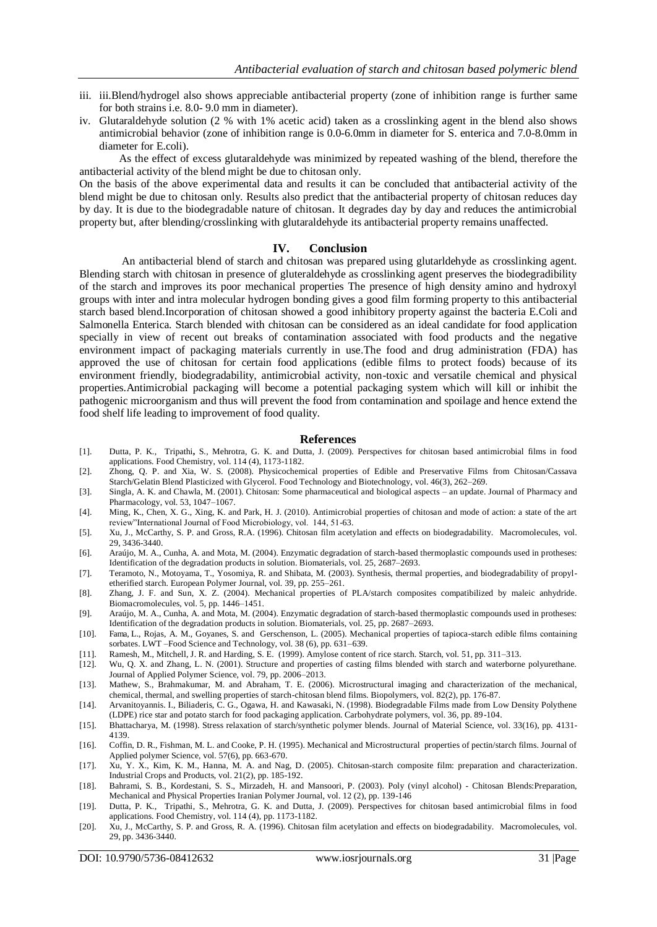- iii. iii.Blend/hydrogel also shows appreciable antibacterial property (zone of inhibition range is further same for both strains i.e. 8.0- 9.0 mm in diameter).
- iv. Glutaraldehyde solution (2 % with 1% acetic acid) taken as a crosslinking agent in the blend also shows antimicrobial behavior (zone of inhibition range is 0.0-6.0mm in diameter for S. enterica and 7.0-8.0mm in diameter for E.coli).

As the effect of excess glutaraldehyde was minimized by repeated washing of the blend, therefore the antibacterial activity of the blend might be due to chitosan only.

On the basis of the above experimental data and results it can be concluded that antibacterial activity of the blend might be due to chitosan only. Results also predict that the antibacterial property of chitosan reduces day by day. It is due to the biodegradable nature of chitosan. It degrades day by day and reduces the antimicrobial property but, after blending/crosslinking with glutaraldehyde its antibacterial property remains unaffected.

#### **IV. Conclusion**

An antibacterial blend of starch and chitosan was prepared using glutarldehyde as crosslinking agent. Blending starch with chitosan in presence of gluteraldehyde as crosslinking agent preserves the biodegradibility of the starch and improves its poor mechanical properties The presence of high density amino and hydroxyl groups with inter and intra molecular hydrogen bonding gives a good film forming property to this antibacterial starch based blend.Incorporation of chitosan showed a good inhibitory property against the bacteria E.Coli and Salmonella Enterica. Starch blended with chitosan can be considered as an ideal candidate for food application specially in view of recent out breaks of contamination associated with food products and the negative environment impact of packaging materials currently in use.The food and drug administration (FDA) has approved the use of chitosan for certain food applications (edible films to protect foods) because of its environment friendly, biodegradability, antimicrobial activity, non-toxic and versatile chemical and physical properties.Antimicrobial packaging will become a potential packaging system which will kill or inhibit the pathogenic microorganism and thus will prevent the food from contamination and spoilage and hence extend the food shelf life leading to improvement of food quality.

#### **References**

- [1]. Dutta, P. K., Tripathi**,** S., Mehrotra, G. K. and Dutta, J. (2009). [Perspectives for chitosan based antimicrobial films in food](http://www.sciencedirect.com/science?_ob=ArticleURL&_udi=B6T6R-4V166FY-1&_user=1585550&_coverDate=06%2F15%2F2009&_alid=956668868&_rdoc=1&_fmt=high&_orig=search&_cdi=5037&_sort=r&_docanchor=&view=c&_ct=1&_acct=C000053891&_version=1&_urlVersion=0&_userid=1585550&md5=c784e2c6aba16b36f1bff47310c9d687)  [applications.](http://www.sciencedirect.com/science?_ob=ArticleURL&_udi=B6T6R-4V166FY-1&_user=1585550&_coverDate=06%2F15%2F2009&_alid=956668868&_rdoc=1&_fmt=high&_orig=search&_cdi=5037&_sort=r&_docanchor=&view=c&_ct=1&_acct=C000053891&_version=1&_urlVersion=0&_userid=1585550&md5=c784e2c6aba16b36f1bff47310c9d687) Food Chemistry, vol. 114 (4), 1173-1182.
- [2]. Zhong, Q. P. and Xia, W. S. (2008). Physicochemical properties of Edible and Preservative Films from Chitosan/Cassava Starch/Gelatin Blend Plasticized with Glycerol. Food Technology and Biotechnology, vol. 46(3), 262–269.
- [3]. Singla, A. K. and Chawla, M. (2001). Chitosan: Some pharmaceutical and biological aspects an update. Journal of Pharmacy and Pharmacology, vol. 53, 1047–1067.
- [4]. Ming, K., Chen, X. G., Xing, K. and Park, H. J. (2010). Antimicrobial properties of chitosan and mode of action: a state of the art review"International Journal of Food Microbiology, vol. 144, 51-63.
- [5]. Xu, J., McCarthy, S. P. and Gross, R.A. (1996). Chitosan film acetylation and effects on biodegradability. Macromolecules, vol. 29, 3436-3440.
- [6]. Araújo, M. A., Cunha, A. and Mota, M. (2004). Enzymatic degradation of starch-based thermoplastic compounds used in protheses: Identification of the degradation products in solution. Biomaterials, vol. 25, 2687–2693.
- [7]. Teramoto, N., Motoyama, T., Yosomiya, R. and Shibata, M. (2003). Synthesis, thermal properties, and biodegradability of propyletherified starch. European Polymer Journal, vol. 39, pp. 255–261.
- [8]. Zhang, J. F. and Sun, X. Z. (2004). Mechanical properties of PLA/starch composites compatibilized by maleic anhydride. Biomacromolecules, vol. 5, pp. 1446–1451.
- [9]. Araújo, M. A., Cunha, A. and Mota, M. (2004). Enzymatic degradation of starch-based thermoplastic compounds used in protheses: Identification of the degradation products in solution. Biomaterials, vol. 25, pp. 2687–2693.
- [10]. Fama, L., Rojas, A. M., Goyanes, S. and Gerschenson, L. (2005). Mechanical properties of tapioca-starch edible films containing sorbates. LWT –Food Science and Technology, vol. 38 (6), pp. 631–639.
- [11]. Ramesh, M., Mitchell, J. R. and Harding, S. E. (1999). Amylose content of rice starch. Starch, vol. 51, pp. 311–313.
- [12]. Wu, Q. X. and Zhang, L. N. (2001). Structure and properties of casting films blended with starch and waterborne polyurethane. Journal of Applied Polymer Science, vol. 79, pp. 2006–2013.
- [13]. [Mathew, S.,](http://www.ncbi.nlm.nih.gov/pubmed?term=Mathew%20S%5BAuthor%5D&cauthor=true&cauthor_uid=16489584) [Brahmakumar, M.](http://www.ncbi.nlm.nih.gov/pubmed?term=Brahmakumar%20M%5BAuthor%5D&cauthor=true&cauthor_uid=16489584) and [Abraham, T. E.](http://www.ncbi.nlm.nih.gov/pubmed?term=Abraham%20TE%5BAuthor%5D&cauthor=true&cauthor_uid=16489584) (2006). Microstructural imaging and characterization of the mechanical, chemical, thermal, and swelling properties of starch-chitosan blend films. [Biopolymers,](http://www.ncbi.nlm.nih.gov/pubmed/?term=Mathew+S%2C+Brahmakumar+M.+and+Abraham+T+E.+biopolymers+82%2C176-187.%282006%29) vol. 82(2), pp. 176-87.
- [14]. Arvanitoyannis. I., Biliaderis, C. G., Ogawa, H. and Kawasaki, N. (1998). Biodegradable Films made from Low Density Polythene (LDPE) rice star and potato starch for food packaging application. Carbohydrate polymers, vol. 36, pp. 89-104.
- [15]. Bhattacharya, M. (1998). Stress relaxation of starch/synthetic polymer blends. Journal of Material Science, vol. 33(16), pp. 4131- 4139.
- [16]. Coffin, D. R., Fishman, M. L. and Cooke, P. H. (1995). Mechanical and Microstructural properties of pectin/starch films. Journal of Applied polymer Science, vol. 57(6), pp. 663-670.
- [17]. Xu, Y. X., Kim, K. M., Hanna, M. A. and Nag, D. (2005). [Chitosan-starch composite film: preparation and characterization.](http://www.sciencedirect.com/science/article/pii/S0926669004000482) Industrial Crops and Products, vol. 21(2), pp. 185-192.
- [18]. Bahrami, S. B., Kordestani, S. S., Mirzadeh, H. and Mansoori, P. (2003). Poly (vinyl alcohol) Chitosan Blends:Preparation, Mechanical and Physical Properties Iranian Polymer Journal, vol. 12 (2), pp. 139-146
- [19]. Dutta, P. K., Tripathi, S., Mehrotra, G. K. and Dutta, J. (2009). [Perspectives for chitosan based antimicrobial films in food](http://www.sciencedirect.com/science?_ob=ArticleURL&_udi=B6T6R-4V166FY-1&_user=1585550&_coverDate=06%2F15%2F2009&_alid=956668868&_rdoc=1&_fmt=high&_orig=search&_cdi=5037&_sort=r&_docanchor=&view=c&_ct=1&_acct=C000053891&_version=1&_urlVersion=0&_userid=1585550&md5=c784e2c6aba16b36f1bff47310c9d687)  [applications.](http://www.sciencedirect.com/science?_ob=ArticleURL&_udi=B6T6R-4V166FY-1&_user=1585550&_coverDate=06%2F15%2F2009&_alid=956668868&_rdoc=1&_fmt=high&_orig=search&_cdi=5037&_sort=r&_docanchor=&view=c&_ct=1&_acct=C000053891&_version=1&_urlVersion=0&_userid=1585550&md5=c784e2c6aba16b36f1bff47310c9d687) Food Chemistry, vol. 114 (4), pp. 1173-1182.
- [20]. Xu, J., McCarthy, S. P. and Gross, R. A. (1996). Chitosan film acetylation and effects on biodegradability. Macromolecules, vol. 29, pp. 3436-3440.